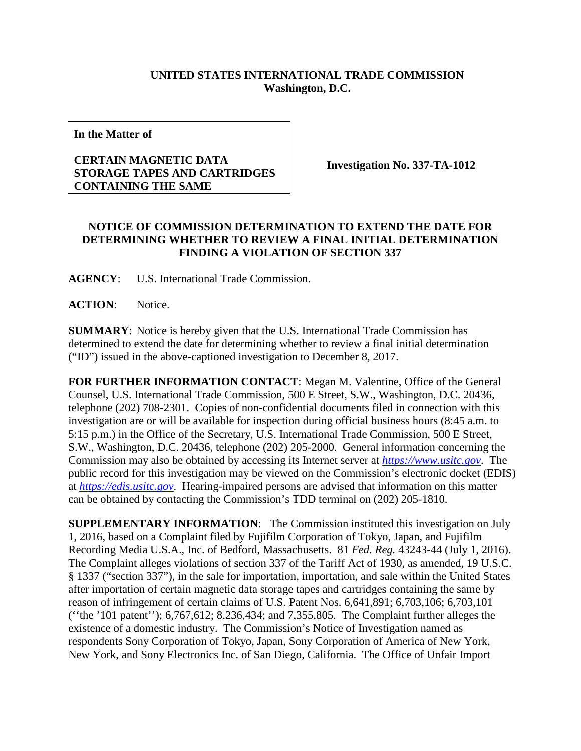## **UNITED STATES INTERNATIONAL TRADE COMMISSION Washington, D.C.**

**In the Matter of**

## **CERTAIN MAGNETIC DATA STORAGE TAPES AND CARTRIDGES CONTAINING THE SAME**

**Investigation No. 337-TA-1012**

## **NOTICE OF COMMISSION DETERMINATION TO EXTEND THE DATE FOR DETERMINING WHETHER TO REVIEW A FINAL INITIAL DETERMINATION FINDING A VIOLATION OF SECTION 337**

**AGENCY**: U.S. International Trade Commission.

**ACTION**: Notice.

**SUMMARY**: Notice is hereby given that the U.S. International Trade Commission has determined to extend the date for determining whether to review a final initial determination ("ID") issued in the above-captioned investigation to December 8, 2017.

**FOR FURTHER INFORMATION CONTACT**: Megan M. Valentine, Office of the General Counsel, U.S. International Trade Commission, 500 E Street, S.W., Washington, D.C. 20436, telephone (202) 708-2301. Copies of non-confidential documents filed in connection with this investigation are or will be available for inspection during official business hours (8:45 a.m. to 5:15 p.m.) in the Office of the Secretary, U.S. International Trade Commission, 500 E Street, S.W., Washington, D.C. 20436, telephone (202) 205-2000. General information concerning the Commission may also be obtained by accessing its Internet server at *[https://www.usitc.gov](https://www.usitc.gov/)*. The public record for this investigation may be viewed on the Commission's electronic docket (EDIS) at *[https://edis.usitc.gov](https://edis.usitc.gov/)*. Hearing-impaired persons are advised that information on this matter can be obtained by contacting the Commission's TDD terminal on (202) 205-1810.

**SUPPLEMENTARY INFORMATION**: The Commission instituted this investigation on July 1, 2016, based on a Complaint filed by Fujifilm Corporation of Tokyo, Japan, and Fujifilm Recording Media U.S.A., Inc. of Bedford, Massachusetts. 81 *Fed. Reg.* 43243-44 (July 1, 2016). The Complaint alleges violations of section 337 of the Tariff Act of 1930, as amended, 19 U.S.C. § 1337 ("section 337"), in the sale for importation, importation, and sale within the United States after importation of certain magnetic data storage tapes and cartridges containing the same by reason of infringement of certain claims of U.S. Patent Nos. 6,641,891; 6,703,106; 6,703,101 (''the '101 patent''); 6,767,612; 8,236,434; and 7,355,805. The Complaint further alleges the existence of a domestic industry. The Commission's Notice of Investigation named as respondents Sony Corporation of Tokyo, Japan, Sony Corporation of America of New York, New York, and Sony Electronics Inc. of San Diego, California. The Office of Unfair Import